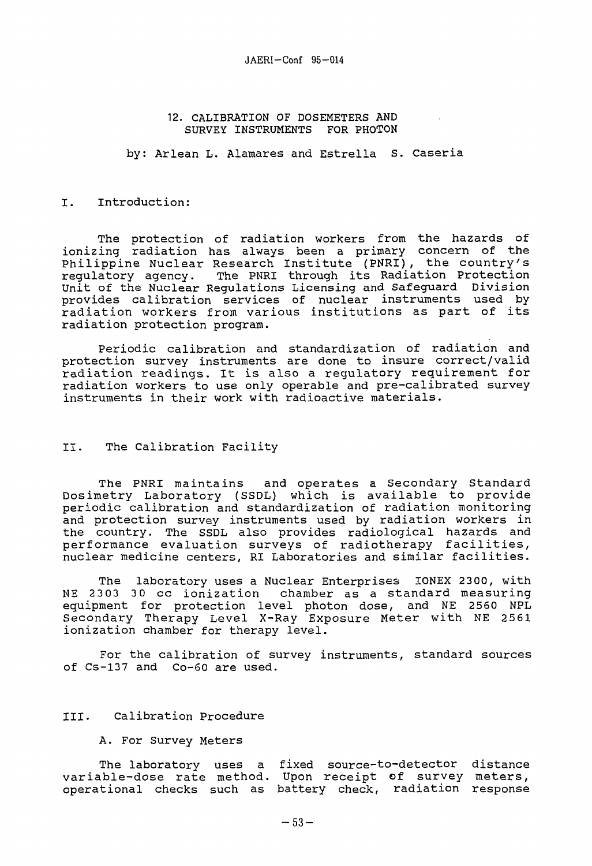### 12. CALIBRATION OF DOSEMETERS AND SURVEY INSTRUMENTS FOR PHOTON

by: Arlean L. Alamares and Estrella S. Caseria

#### I. Introduction:

The protection of radiation workers from the hazards of ionizing radiation has always been a primary concern of the Philippine Nuclear Research Institute (PNRI), the country's<br>requlatory agency. The PNRI through its Radiation Protection The PNRI through its Radiation Protection Unit of the Nuclear Regulations Licensing and Safeguard Division provides calibration services of nuclear instruments used by radiation workers from various institutions as part of its radiation protection program.

Periodic calibration and standardization of radiation and protection survey instruments are done to insure correct/valid radiation readings. It is also a regulatory requirement for radiation workers to use only operable and pre-calibrated survey instruments in their work with radioactive materials.

## II. The Calibration Facility

The PNRI maintains and operates a Secondary Standard Dosimetry Laboratory (SSDL) which is available to provide periodic calibration and standardization of radiation monitoring and protection survey instruments used by radiation workers in the country. The SSDL also provides radiological hazards and performance evaluation surveys of radiotherapy facilities, nuclear medicine centers, RI Laboratories and similar facilities.

The laboratory uses a Nuclear Enterprises IONEX 2300, with NE 2303 30 cc ionization chamber as a standard measuring equipment for protection level photon dose, and NE 2560 NPL Secondary Therapy Level X-Ray Exposure Meter with NE 2561 ionization chamber for therapy level.

For the calibration of survey instruments, standard sources of Cs-137 and Co-60 are used.

## III. Calibration Procedure

A. For Survey Meters

The laboratory uses a fixed source-to-detector distance variable-dose rate method. Upon receipt of survey meters, operational checks such as battery check, radiation response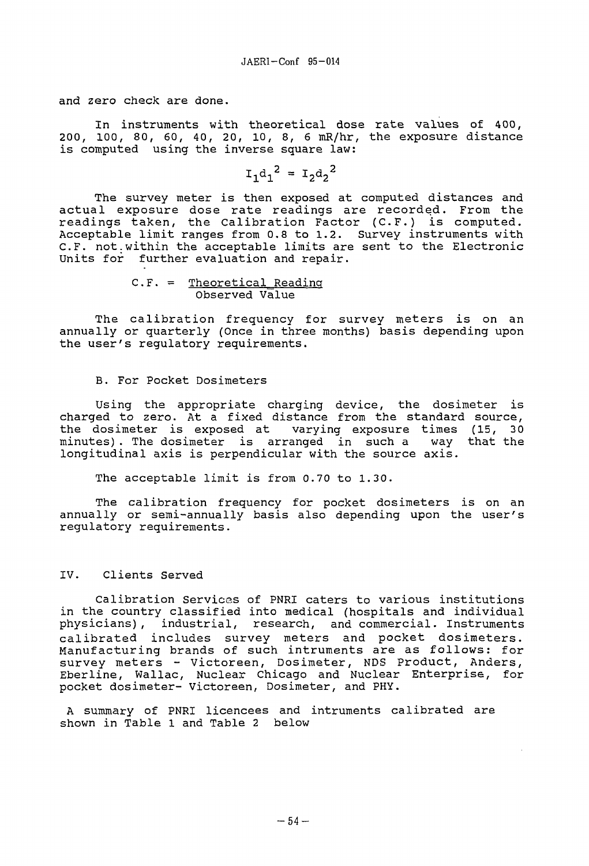and zero check are done.

In instruments with theoretical dose rate values of 400, 200, 100, 80, 60, 40, 20, 10, 8, 6 mR/hr, the exposure distance is computed using the inverse square law:

$$
I_1 d_1^2 = I_2 d_2^2
$$

The survey meter is then exposed at computed distances and actual exposure dose rate readings are recorded. From the readings taken, the Calibration Factor (C.F.) is computed. Acceptable limit ranges from 0.8 to 1.2. Survey instruments with C.F. not.within the acceptable limits are sent to the Electronic Units for further evaluation and repair.

C.F. = Theoretical\_Readinq Observed Value

The calibration frequency for survey meters is on an annually or quarterly (Once in three months) basis depending upon the user's regulatory requirements.

## B. For Pocket Dosimeters

Using the appropriate charging device, the dosimeter is charged to zero. At a fixed distance from the standard source, the dosimeter is exposed at varying exposure times (15, 30 minutes) . The dosimeter is arranged in such a way that the longitudinal axis is perpendicular with the source axis.

The acceptable limit is from 0.70 to 1.30.

The calibration frequency for pocket dosimeters is on an annually or semi-annually basis also depending upon the user's regulatory requirements.

# IV. Clients Served

Calibration Services of PNRI caters to various institutions in the country classified into medical (hospitals and individual physicians), industrial, research, and commercial. Instruments calibrated includes survey meters and pocket dosimeters. Manufacturing brands of such intruments are as follows: for survey meters - Victoreen, Dosimeter, NDS Product, Anders, Eberline, Wallac, Nuclear Chicago and Nuclear Enterprise, for pocket dosimeter- Victoreen, Dosimeter, and PHY.

A summary of PNRI licencees and intruments calibrated are shown in Table 1 and Table 2 below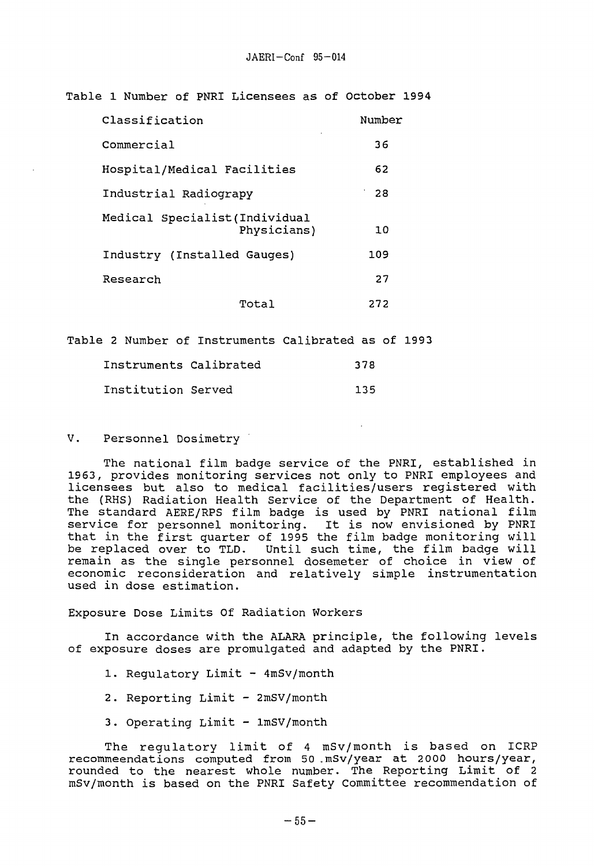Table 1 Number of PNRI Licensees as of October 1994

| Classification                                | Number |
|-----------------------------------------------|--------|
| Commercial                                    | 36     |
| Hospital/Medical Facilities                   | 62     |
| Industrial Radiograpy                         | 28     |
| Medical Specialist (Individual<br>Physicians) | 10     |
| Industry (Installed Gauges)                   | 109    |
| Research                                      | 27     |
| Total                                         | 272    |

Table 2 Number of Instruments Calibrated as of 1993

| Instruments Calibrated | 378 |
|------------------------|-----|
| Institution Served     | 135 |

V. Personnel Dosimetry

The national film badge service of the PNRI, established in 1963, provides monitoring services not only to PNRI employees and licensees but also to medical facilities/users registered with the (RHS) Radiation Health Service of the Department of Health. The standard AERE/RPS film badge is used by PNRI national film service for personnel monitoring. It is now envisioned by PNRI that in the first quarter of 1995 the film badge monitoring will be replaced over to TLD. Until such time, the film badge will remain as the single personnel dosemeter of choice in view of economic reconsideration and relatively simple instrumentation used in dose estimation.

Exposure Dose Limits Of Radiation Workers

In accordance with the ALARA principle, the following levels of exposure doses are promulgated and adapted by the PNRI.

- 1. Regulatory Limit 4mSv/month
- 2. Reporting Limit 2mSV/month
- 3. Operating Limit 1mSV/month

The regulatory limit of 4 mSv/month is based on ICRP recommeendations computed from 50 .mSv/year at 2000 hours/year, rounded to the nearest whole number. The Reporting Limit of 2 mSv/month is based on the PNRI Safety Committee recommendation of